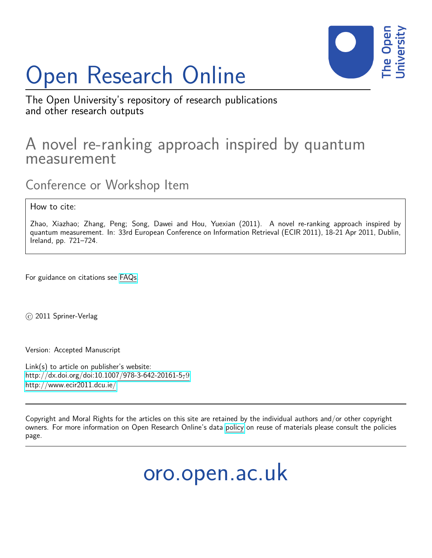# Open Research Online



The Open University's repository of research publications and other research outputs

# A novel re-ranking approach inspired by quantum measurement

Conference or Workshop Item

### How to cite:

Zhao, Xiazhao; Zhang, Peng; Song, Dawei and Hou, Yuexian (2011). A novel re-ranking approach inspired by quantum measurement. In: 33rd European Conference on Information Retrieval (ECIR 2011), 18-21 Apr 2011, Dublin, Ireland, pp. 721–724.

For guidance on citations see [FAQs.](http://oro.open.ac.uk/help/helpfaq.html)

c 2011 Spriner-Verlag

Version: Accepted Manuscript

Link(s) to article on publisher's website: [http://dx.doi.org/doi:10.1007/978-3-642-20161-5](http://dx.doi.org/doi:10.1007/978-3-642-20161-5_79)<sub>7</sub>9 <http://www.ecir2011.dcu.ie/>

Copyright and Moral Rights for the articles on this site are retained by the individual authors and/or other copyright owners. For more information on Open Research Online's data [policy](http://oro.open.ac.uk/policies.html) on reuse of materials please consult the policies page.

oro.open.ac.uk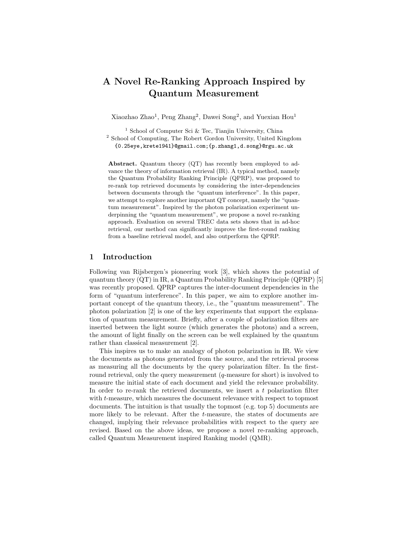## A Novel Re-Ranking Approach Inspired by Quantum Measurement

Xiaozhao Zhao<sup>1</sup>, Peng Zhang<sup>2</sup>, Dawei Song<sup>2</sup>, and Yuexian Hou<sup>1</sup>

 $^1$  School of Computer Sci & Tec, Tianjin University, China <sup>2</sup> School of Computing, The Robert Gordon University, United Kingdom {0.25eye,krete1941}@gmail.com;{p.zhang1,d.song}@rgu.ac.uk

Abstract. Quantum theory (QT) has recently been employed to advance the theory of information retrieval (IR). A typical method, namely the Quantum Probability Ranking Principle (QPRP), was proposed to re-rank top retrieved documents by considering the inter-dependencies between documents through the "quantum interference". In this paper, we attempt to explore another important QT concept, namely the "quantum measurement". Inspired by the photon polarization experiment underpinning the "quantum measurement", we propose a novel re-ranking approach. Evaluation on several TREC data sets shows that in ad-hoc retrieval, our method can significantly improve the first-round ranking from a baseline retrieval model, and also outperform the QPRP.

#### 1 Introduction

Following van Rijsbergen's pioneering work [3], which shows the potential of quantum theory (QT) in IR, a Quantum Probability Ranking Principle (QPRP) [5] was recently proposed. QPRP captures the inter-document dependencies in the form of "quantum interference". In this paper, we aim to explore another important concept of the quantum theory, i.e., the "quantum measurement". The photon polarization [2] is one of the key experiments that support the explanation of quantum measurement. Briefly, after a couple of polarization filters are inserted between the light source (which generates the photons) and a screen, the amount of light finally on the screen can be well explained by the quantum rather than classical measurement [2].

This inspires us to make an analogy of photon polarization in IR. We view the documents as photons generated from the source, and the retrieval process as measuring all the documents by the query polarization filter. In the firstround retrieval, only the query measurement  $(q$ -measure for short) is involved to measure the initial state of each document and yield the relevance probability. In order to re-rank the retrieved documents, we insert a  $t$  polarization filter with *t*-measure, which measures the document relevance with respect to topmost documents. The intuition is that usually the topmost (e.g. top 5) documents are more likely to be relevant. After the t-measure, the states of documents are changed, implying their relevance probabilities with respect to the query are revised. Based on the above ideas, we propose a novel re-ranking approach, called Quantum Measurement inspired Ranking model (QMR).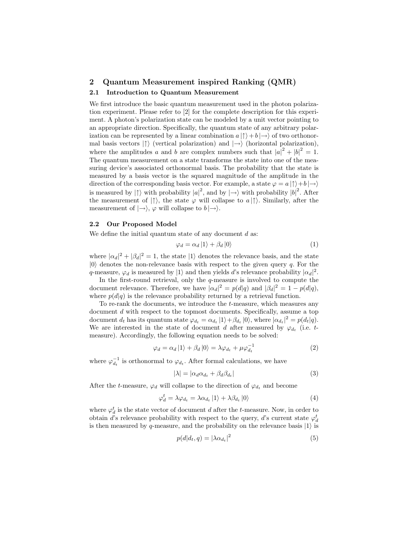#### 2 Quantum Measurement inspired Ranking (QMR)

#### 2.1 Introduction to Quantum Measurement

We first introduce the basic quantum measurement used in the photon polarization experiment. Please refer to [2] for the complete description for this experiment. A photon's polarization state can be modeled by a unit vector pointing to an appropriate direction. Specifically, the quantum state of any arbitrary polarization can be represented by a linear combination  $a |\uparrow\rangle + b |\rightarrow\rangle$  of two orthonormal basis vectors  $|\uparrow\rangle$  (vertical polarization) and  $|\rightarrow\rangle$  (horizontal polarization), where the amplitudes a and b are complex numbers such that  $|a|^2 + |b|^2 = 1$ . The quantum measurement on a state transforms the state into one of the measuring device's associated orthonormal basis. The probability that the state is measured by a basis vector is the squared magnitude of the amplitude in the direction of the corresponding basis vector. For example, a state  $\varphi = a | \uparrow \rangle + b | \rightarrow \rangle$ is measured by  $|\uparrow\rangle$  with probability  $|a|^2$ , and by  $|\rightarrow\rangle$  with probability  $|b|^2$ . After the measurement of  $|\uparrow\rangle$ , the state  $\varphi$  will collapse to  $a|\uparrow\rangle$ . Similarly, after the measurement of  $|\rightarrow\rangle$ ,  $\varphi$  will collapse to  $b |\rightarrow\rangle$ .

#### 2.2 Our Proposed Model

We define the initial quantum state of any document  $d$  as:

$$
\varphi_d = \alpha_d |1\rangle + \beta_d |0\rangle \tag{1}
$$

where  $|\alpha_d|^2 + |\beta_d|^2 = 1$ , the state  $|1\rangle$  denotes the relevance basis, and the state  $|0\rangle$  denotes the non-relevance basis with respect to the given query q. For the q-measure,  $\varphi_d$  is measured by  $|1\rangle$  and then yields d's relevance probability  $|\alpha_d|^2$ .

In the first-round retrieval, only the  $q$ -measure is involved to compute the document relevance. Therefore, we have  $|\alpha_d|^2 = p(d|q)$  and  $|\beta_d|^2 = 1 - p(d|q)$ , where  $p(d|q)$  is the relevance probability returned by a retrieval function.

To re-rank the documents, we introduce the t-measure, which measures any document d with respect to the topmost documents. Specifically, assume a top document  $d_t$  has its quantum state  $\varphi_{d_t} = \alpha_{d_t} |1\rangle + \beta_{d_t} |0\rangle$ , where  $|\alpha_{d_t}|^2 = p(d_t|q)$ . We are interested in the state of document d after measured by  $\varphi_{d_t}$  (i.e. tmeasure). Accordingly, the following equation needs to be solved:

$$
\varphi_d = \alpha_d |1\rangle + \beta_d |0\rangle = \lambda \varphi_{d_t} + \mu \varphi_{d_t}^{-1}
$$
\n(2)

where  $\varphi_{d_t}^{-1}$  is orthonormal to  $\varphi_{d_t}$ . After formal calculations, we have

$$
|\lambda| = |\alpha_d \alpha_{d_t} + \beta_d \beta_{d_t}| \tag{3}
$$

After the t-measure,  $\varphi_d$  will collapse to the direction of  $\varphi_{d_t}$  and become

$$
\varphi_d^t = \lambda \varphi_{d_t} = \lambda \alpha_{d_t} |1\rangle + \lambda \beta_{d_t} |0\rangle \tag{4}
$$

where  $\varphi_d^t$  is the state vector of document d after the t-measure. Now, in order to obtain  $\ddot{d}$ 's relevance probability with respect to the query,  $\ddot{d}$ 's current state  $\varphi_d^t$ is then measured by q-measure, and the probability on the relevance basis  $|1\rangle$  is

$$
p(d|d_t, q) = |\lambda \alpha_{d_t}|^2 \tag{5}
$$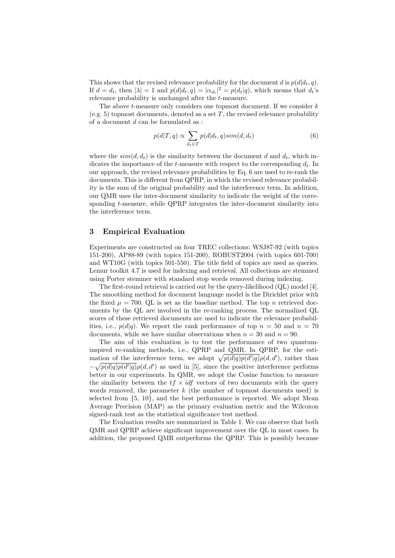This shows that the revised relevance probability for the document d is  $p(d|d_t,q)$ . If  $d = d_t$ , then  $|\lambda| = 1$  and  $p(d|d_t, q) = |\alpha_{d_t}|^2 = p(d_t|q)$ , which means that  $d_t$ 's relevance probability is unchanged after the t-measure.

The above  $t$ -measure only considers one topmost document. If we consider  $k$ (e.g. 5) topmost documents, denoted as a set  $T$ , the revised relevance probability of a document d can be formulated as :

$$
p(d|T, q) \propto \sum_{d_t \in T} p(d|d_t, q) sim(d, d_t)
$$
\n(6)

where the  $sim(d, d_t)$  is the similarity between the document d and  $d_t$ , which indicates the importance of the  $t$ -measure with respect to the corresponding  $d_t$ . In our approach, the revised relevance probabilities by Eq. 6 are used to re-rank the documents. This is different from QPRP, in which the revised relevance probability is the sum of the original probability and the interference term. In addition, our QMR uses the inter-document similarity to indicate the weight of the corresponding t-measure, while QPRP integrates the inter-document similarity into the interference term.

#### 3 Empirical Evaluation

Experiments are constructed on four TREC collections: WSJ87-92 (with topics 151-200), AP88-89 (with topics 151-200), ROBUST2004 (with topics 601-700) and WT10G (with topics 501-550). The title field of topics are used as queries. Lemur toolkit 4.7 is used for indexing and retrieval. All collections are stemmed using Porter stemmer with standard stop words removed during indexing.

The first-round retrieval is carried out by the query-likelihood (QL) model [4]. The smoothing method for document language model is the Dirichlet prior with the fixed  $\mu = 700$ . QL is set as the baseline method. The top n retrieved documents by the QL are involved in the re-ranking process. The normalized QL scores of these retrieved documents are used to indicate the relevance probabilities, i.e.,  $p(d|q)$ . We report the rank performance of top  $n = 50$  and  $n = 70$ documents, while we have similar observations when  $n = 30$  and  $n = 90$ .

The aim of this evaluation is to test the performance of two quantuminspired re-ranking methods, i.e., QPRP and QMR. In QPRP, for the estimation of the interference term, we adopt  $\sqrt{p(d|q)p(d'|q)}\rho(d,d')$ , rather than  $-\sqrt{p(d|q)p(d'|q)}\rho(d,d')$  as used in [5], since the positive interference performs better in our experiments. In QMR, we adopt the Cosine function to measure the similarity between the  $tf \times idf$  vectors of two documents with the query words removed, the parameter  $k$  (the number of topmost documents used) is selected from {5, 10}, and the best performance is reported. We adopt Mean Average Precision (MAP) as the primary evaluation metric and the Wilcoxon signed-rank test as the statistical significance test method.

The Evaluation results are summarized in Table 1. We can observe that both QMR and QPRP achieve significant improvement over the QL in most cases. In addition, the proposed QMR outperforms the QPRP. This is possibly because